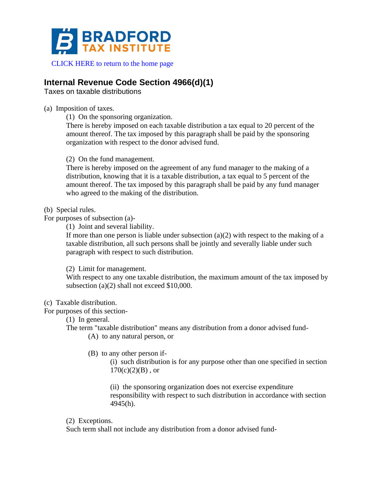

[CLICK HERE to return to the home page](https://bradfordtaxinstitute.com)

## **Internal Revenue Code Section 4966(d)(1)**

Taxes on taxable distributions

(a) Imposition of taxes.

(1) On the sponsoring organization.

There is hereby imposed on each taxable distribution a tax equal to 20 percent of the amount thereof. The tax imposed by this paragraph shall be paid by the sponsoring organization with respect to the donor advised fund.

(2) On the fund management.

There is hereby imposed on the agreement of any fund manager to the making of a distribution, knowing that it is a taxable distribution, a tax equal to 5 percent of the amount thereof. The tax imposed by this paragraph shall be paid by any fund manager who agreed to the making of the distribution.

(b) Special rules.

For purposes of subsection (a)-

(1) Joint and several liability.

If more than one person is liable under subsection  $(a)(2)$  with respect to the making of a taxable distribution, all such persons shall be jointly and severally liable under such paragraph with respect to such distribution.

(2) Limit for management.

With respect to any one taxable distribution, the maximum amount of the tax imposed by subsection (a)(2) shall not exceed \$10,000.

(c) Taxable distribution.

For purposes of this section-

(1) In general.

The term "taxable distribution" means any distribution from a donor advised fund-

(A) to any natural person, or

(B) to any other person if-

(i) such distribution is for any purpose other than one specified in section  $170(c)(2)(B)$ , or

(ii) the sponsoring organization does not exercise expenditure responsibility with respect to such distribution in accordance with section 4945(h).

(2) Exceptions.

Such term shall not include any distribution from a donor advised fund-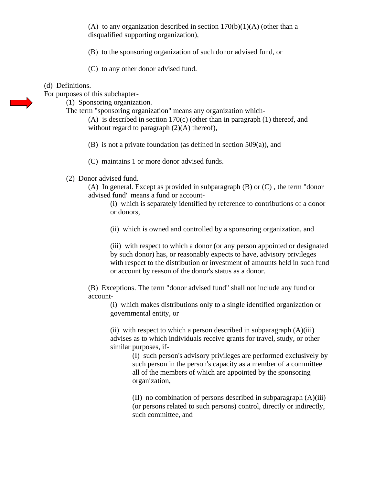(A) to any organization described in section  $170(b)(1)(A)$  (other than a disqualified supporting organization),

- (B) to the sponsoring organization of such donor advised fund, or
- (C) to any other donor advised fund.
- (d) Definitions.

For purposes of this subchapter-

(1) Sponsoring organization.

The term "sponsoring organization" means any organization which-

(A) is described in section 170(c) (other than in paragraph (1) thereof, and without regard to paragraph  $(2)(A)$  thereof),

- (B) is not a private foundation (as defined in section 509(a)), and
- (C) maintains 1 or more donor advised funds.
- (2) Donor advised fund.

(A) In general. Except as provided in subparagraph (B) or (C) , the term "donor advised fund" means a fund or account-

(i) which is separately identified by reference to contributions of a donor or donors,

(ii) which is owned and controlled by a sponsoring organization, and

(iii) with respect to which a donor (or any person appointed or designated by such donor) has, or reasonably expects to have, advisory privileges with respect to the distribution or investment of amounts held in such fund or account by reason of the donor's status as a donor.

(B) Exceptions. The term "donor advised fund" shall not include any fund or account-

(i) which makes distributions only to a single identified organization or governmental entity, or

(ii) with respect to which a person described in subparagraph  $(A)(iii)$ advises as to which individuals receive grants for travel, study, or other similar purposes, if-

> (I) such person's advisory privileges are performed exclusively by such person in the person's capacity as a member of a committee all of the members of which are appointed by the sponsoring organization,

(II) no combination of persons described in subparagraph (A)(iii) (or persons related to such persons) control, directly or indirectly, such committee, and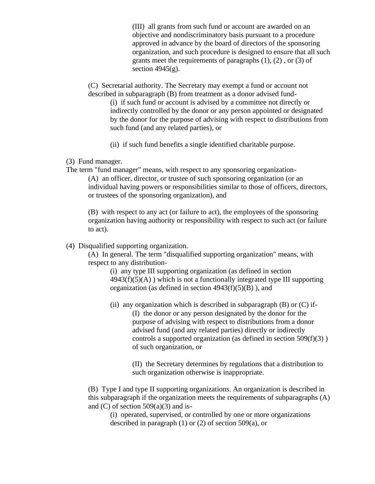(III) all grants from such fund or account are awarded on an objective and nondiscriminatory basis pursuant to a procedure approved in advance by the board of directors of the sponsoring organization, and such procedure is designed to ensure that all such grants meet the requirements of paragraphs (1), (2) , or (3) of section  $4945(g)$ .

(C) Secretarial authority. The Secretary may exempt a fund or account not described in subparagraph (B) from treatment as a donor advised fund-

(i) if such fund or account is advised by a committee not directly or indirectly controlled by the donor or any person appointed or designated by the donor for the purpose of advising with respect to distributions from such fund (and any related parties), or

- (ii) if such fund benefits a single identified charitable purpose.
- (3) Fund manager.
- The term "fund manager" means, with respect to any sponsoring organization- (A) an officer, director, or trustee of such sponsoring organization (or an individual having powers or responsibilities similar to those of officers, directors, or trustees of the sponsoring organization), and

(B) with respect to any act (or failure to act), the employees of the sponsoring organization having authority or responsibility with respect to such act (or failure to act).

## (4) Disqualified supporting organization.

(A) In general. The term "disqualified supporting organization" means, with respect to any distribution-

(i) any type III supporting organization (as defined in section  $4943(f)(5)(A)$ ) which is not a functionally integrated type III supporting organization (as defined in section  $4943(f)(5)(B)$ ), and

(ii) any organization which is described in subparagraph  $(B)$  or  $(C)$  if-

(I) the donor or any person designated by the donor for the purpose of advising with respect to distributions from a donor advised fund (and any related parties) directly or indirectly controls a supported organization (as defined in section 509(f)(3) ) of such organization, or

(II) the Secretary determines by regulations that a distribution to such organization otherwise is inappropriate.

(B) Type I and type II supporting organizations. An organization is described in this subparagraph if the organization meets the requirements of subparagraphs (A) and  $(C)$  of section 509 $(a)(3)$  and is-

(i) operated, supervised, or controlled by one or more organizations described in paragraph (1) or (2) of section 509(a), or